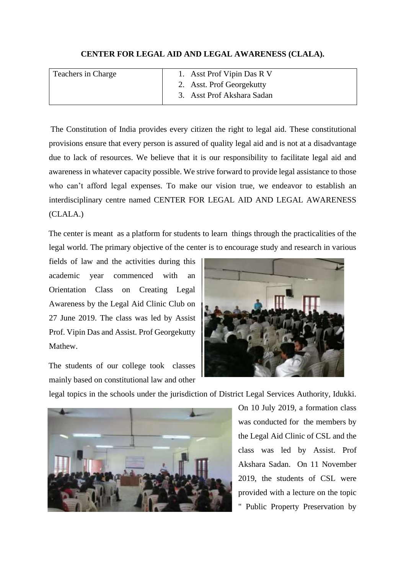## **CENTER FOR LEGAL AID AND LEGAL AWARENESS (CLALA).**

| Teachers in Charge | 1. Asst Prof Vipin Das R V |
|--------------------|----------------------------|
|                    | 2. Asst. Prof Georgekutty  |
|                    | 3. Asst Prof Akshara Sadan |

The Constitution of India provides every citizen the right to legal aid. These constitutional provisions ensure that every person is assured of quality legal aid and is not at a disadvantage due to lack of resources. We believe that it is our responsibility to facilitate legal aid and awareness in whatever capacity possible. We strive forward to provide legal assistance to those who can't afford legal expenses. To make our vision true, we endeavor to establish an interdisciplinary centre named CENTER FOR LEGAL AID AND LEGAL AWARENESS (CLALA.)

The center is meant as a platform for students to learn things through the practicalities of the legal world. The primary objective of the center is to encourage study and research in various

fields of law and the activities during this academic year commenced with an Orientation Class on Creating Legal Awareness by the Legal Aid Clinic Club on 27 June 2019. The class was led by Assist Prof. Vipin Das and Assist. Prof Georgekutty Mathew.

The students of our college took classes mainly based on constitutional law and other



legal topics in the schools under the jurisdiction of District Legal Services Authority, Idukki.



On 10 July 2019, a formation class was conducted for the members by the Legal Aid Clinic of CSL and the class was led by Assist. Prof Akshara Sadan. On 11 November 2019, the students of CSL were provided with a lecture on the topic " Public Property Preservation by